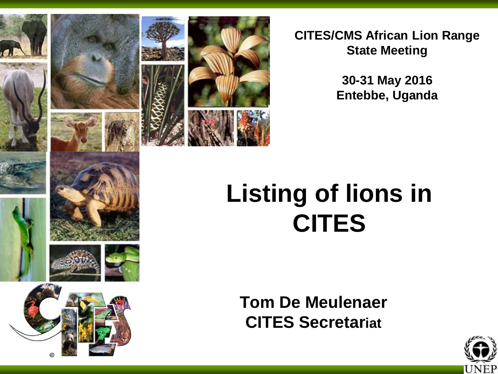

**CITES/CMS African Lion Range State Meeting**

> **30-31 May 2016 Entebbe, Uganda**

# **Listing of lions in CITES**

**Tom De Meulenaer CITES Secretariat**

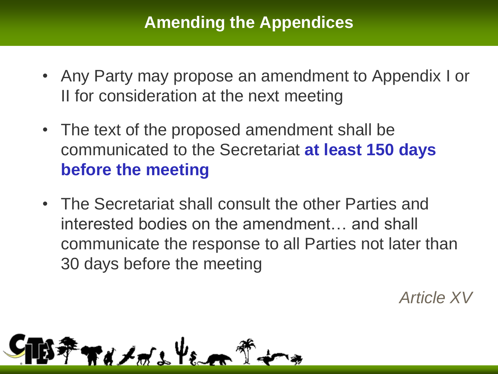### **Amending the Appendices**

- Any Party may propose an amendment to Appendix I or II for consideration at the next meeting
- The text of the proposed amendment shall be communicated to the Secretariat **at least 150 days before the meeting**
- The Secretariat shall consult the other Parties and interested bodies on the amendment… and shall communicate the response to all Parties not later than 30 days before the meeting

*Article XV*

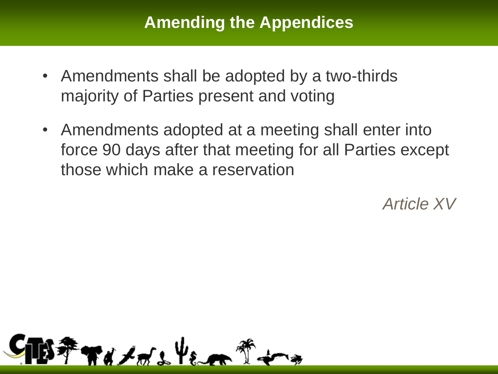### **Amending the Appendices**

- Amendments shall be adopted by a two-thirds majority of Parties present and voting
- Amendments adopted at a meeting shall enter into force 90 days after that meeting for all Parties except those which make a reservation

*Article XV*

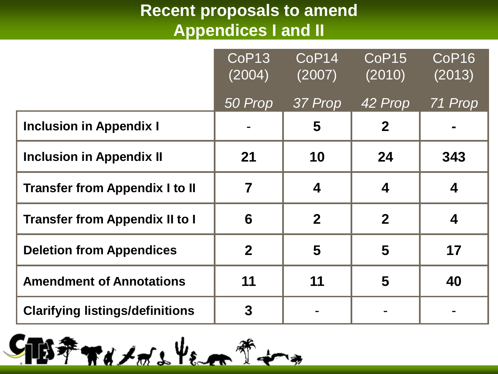## **Recent proposals to amend Appendices I and II**

|                                        | CoP <sub>13</sub><br>(2004) | CoP <sub>14</sub><br>(2007) | CoP <sub>15</sub><br>(2010) | CoP16<br>(2013) |
|----------------------------------------|-----------------------------|-----------------------------|-----------------------------|-----------------|
|                                        | 50 Prop                     | 37 Prop                     | 42 Prop                     | 71 Prop         |
| <b>Inclusion in Appendix I</b>         |                             | 5                           | $\mathbf 2$                 |                 |
| <b>Inclusion in Appendix II</b>        | 21                          | 10                          | 24                          | 343             |
| <b>Transfer from Appendix I to II</b>  | $\overline{\mathbf{7}}$     | 4                           | $\overline{\mathbf{4}}$     | 4               |
| <b>Transfer from Appendix II to I</b>  | 6                           | $\overline{2}$              | $\overline{2}$              | 4               |
| <b>Deletion from Appendices</b>        | $\mathbf 2$                 | 5                           | 5                           | 17              |
| <b>Amendment of Annotations</b>        | 11                          | 11                          | 5                           | 40              |
| <b>Clarifying listings/definitions</b> | $\mathbf 3$                 |                             |                             |                 |

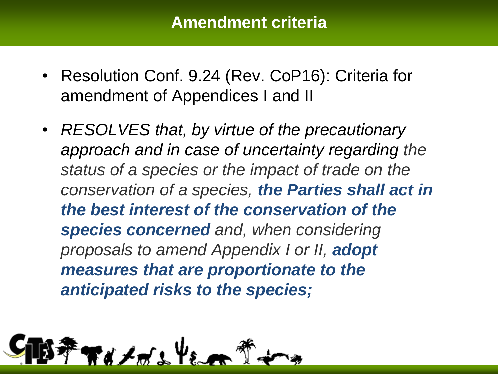#### **Amendment criteria**

- Resolution Conf. 9.24 (Rev. CoP16): Criteria for amendment of Appendices I and II
- *RESOLVES that, by virtue of the precautionary approach and in case of uncertainty regarding the status of a species or the impact of trade on the conservation of a species, the Parties shall act in the best interest of the conservation of the species concerned and, when considering proposals to amend Appendix I or II, adopt measures that are proportionate to the anticipated risks to the species;*

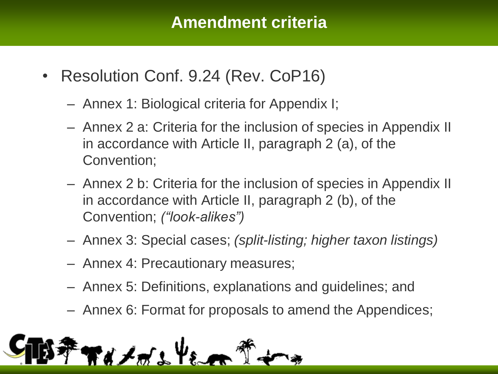#### **Amendment criteria**

- Resolution Conf. 9.24 (Rev. CoP16)
	- Annex 1: Biological criteria for Appendix I;
	- Annex 2 a: Criteria for the inclusion of species in Appendix II in accordance with Article II, paragraph 2 (a), of the Convention;
	- Annex 2 b: Criteria for the inclusion of species in Appendix II in accordance with Article II, paragraph 2 (b), of the Convention; *("look-alikes")*
	- Annex 3: Special cases; *(split-listing; higher taxon listings)*
	- Annex 4: Precautionary measures;
	- Annex 5: Definitions, explanations and guidelines; and
	- Annex 6: Format for proposals to amend the Appendices;

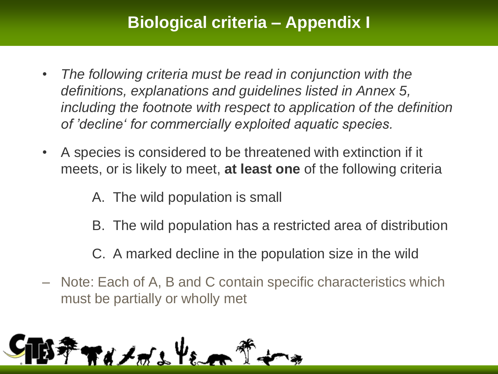## **Biological criteria – Appendix I**

- *The following criteria must be read in conjunction with the definitions, explanations and guidelines listed in Annex 5, including the footnote with respect to application of the definition of 'decline' for commercially exploited aquatic species.*
- A species is considered to be threatened with extinction if it meets, or is likely to meet, **at least one** of the following criteria

A. The wild population is small

- B. The wild population has a restricted area of distribution
- C. A marked decline in the population size in the wild
- Note: Each of A, B and C contain specific characteristics which must be partially or wholly met

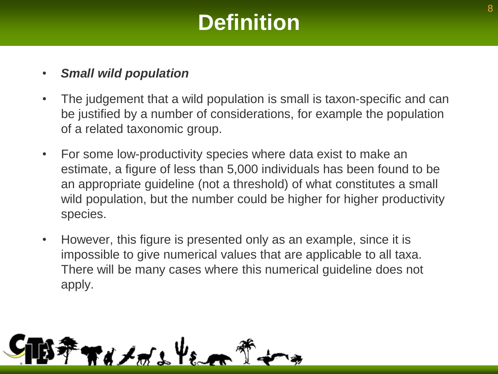## **Definition**

#### • *Small wild population*

- The judgement that a wild population is small is taxon-specific and can be justified by a number of considerations, for example the population of a related taxonomic group.
- For some low-productivity species where data exist to make an estimate, a figure of less than 5,000 individuals has been found to be an appropriate guideline (not a threshold) of what constitutes a small wild population, but the number could be higher for higher productivity species.
- However, this figure is presented only as an example, since it is impossible to give numerical values that are applicable to all taxa. There will be many cases where this numerical guideline does not apply.

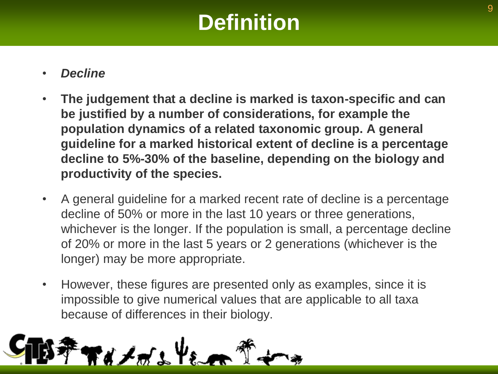## **Definition**

#### • *Decline*

- **The judgement that a decline is marked is taxon-specific and can be justified by a number of considerations, for example the population dynamics of a related taxonomic group. A general guideline for a marked historical extent of decline is a percentage decline to 5%-30% of the baseline, depending on the biology and productivity of the species.**
- A general guideline for a marked recent rate of decline is a percentage decline of 50% or more in the last 10 years or three generations, whichever is the longer. If the population is small, a percentage decline of 20% or more in the last 5 years or 2 generations (whichever is the longer) may be more appropriate.
- However, these figures are presented only as examples, since it is impossible to give numerical values that are applicable to all taxa because of differences in their biology.

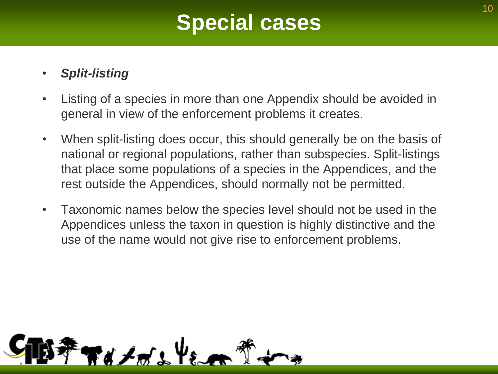## **Special cases**

#### • *Split-listing*

- Listing of a species in more than one Appendix should be avoided in general in view of the enforcement problems it creates.
- When split-listing does occur, this should generally be on the basis of national or regional populations, rather than subspecies. Split-listings that place some populations of a species in the Appendices, and the rest outside the Appendices, should normally not be permitted.
- Taxonomic names below the species level should not be used in the Appendices unless the taxon in question is highly distinctive and the use of the name would not give rise to enforcement problems.

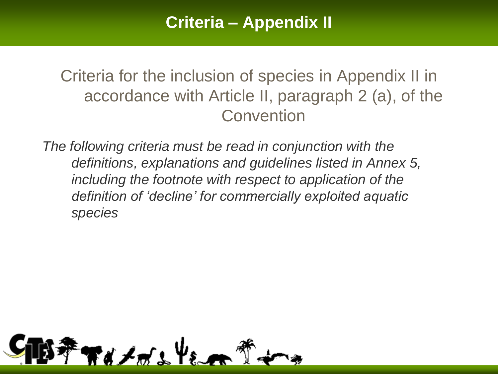Criteria for the inclusion of species in Appendix II in accordance with Article II, paragraph 2 (a), of the **Convention** 

*The following criteria must be read in conjunction with the definitions, explanations and guidelines listed in Annex 5, including the footnote with respect to application of the definition of 'decline' for commercially exploited aquatic species*

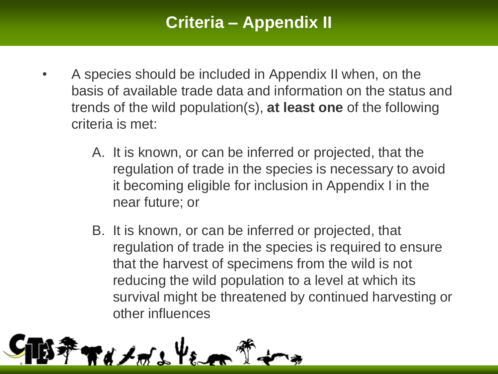## **Criteria – Appendix II**

- A species should be included in Appendix II when, on the basis of available trade data and information on the status and trends of the wild population(s), **at least one** of the following criteria is met:
	- A. It is known, or can be inferred or projected, that the regulation of trade in the species is necessary to avoid it becoming eligible for inclusion in Appendix I in the near future; or
	- B. It is known, or can be inferred or projected, that regulation of trade in the species is required to ensure that the harvest of specimens from the wild is not reducing the wild population to a level at which its survival might be threatened by continued harvesting or other influences

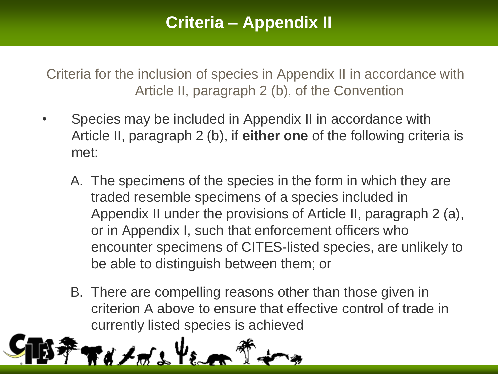## **Criteria – Appendix II**

Criteria for the inclusion of species in Appendix II in accordance with Article II, paragraph 2 (b), of the Convention

- Species may be included in Appendix II in accordance with Article II, paragraph 2 (b), if **either one** of the following criteria is met:
	- A. The specimens of the species in the form in which they are traded resemble specimens of a species included in Appendix II under the provisions of Article II, paragraph 2 (a), or in Appendix I, such that enforcement officers who encounter specimens of CITES-listed species, are unlikely to be able to distinguish between them; or
	- B. There are compelling reasons other than those given in criterion A above to ensure that effective control of trade in currently listed species is achieved

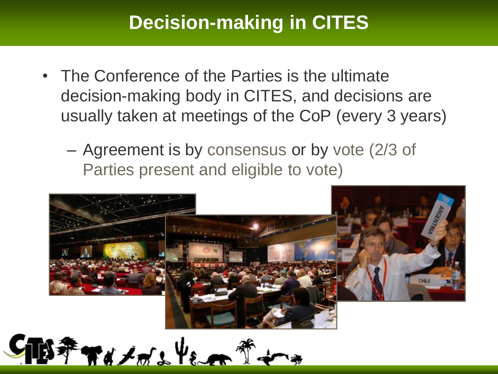## **Decision-making in CITES**

- The Conference of the Parties is the ultimate decision-making body in CITES, and decisions are usually taken at meetings of the CoP (every 3 years)
	- Agreement is by consensus or by vote (2/3 of Parties present and eligible to vote)



 $*$   $*$   $*$   $*$   $*$   $*$   $*$